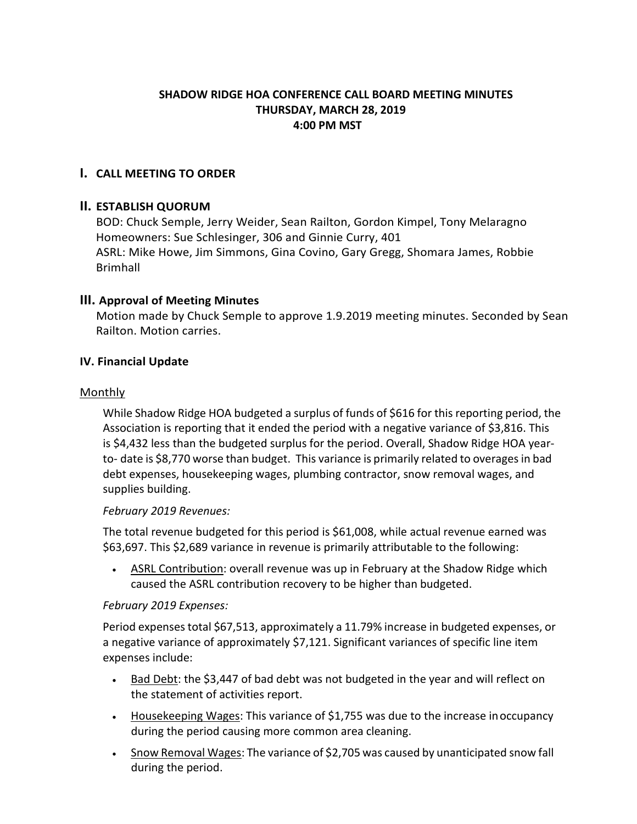## **SHADOW RIDGE HOA CONFERENCE CALL BOARD MEETING MINUTES THURSDAY, MARCH 28, 2019 4:00 PM MST**

# **I. CALL MEETING TO ORDER**

## **II. ESTABLISH QUORUM**

BOD: Chuck Semple, Jerry Weider, Sean Railton, Gordon Kimpel, Tony Melaragno Homeowners: Sue Schlesinger, 306 and Ginnie Curry, 401 ASRL: Mike Howe, Jim Simmons, Gina Covino, Gary Gregg, Shomara James, Robbie Brimhall

# **III. Approval of Meeting Minutes**

Motion made by Chuck Semple to approve 1.9.2019 meeting minutes. Seconded by Sean Railton. Motion carries.

## **IV. Financial Update**

#### Monthly

While Shadow Ridge HOA budgeted a surplus of funds of \$616 for this reporting period, the Association is reporting that it ended the period with a negative variance of \$3,816. This is \$4,432 less than the budgeted surplus for the period. Overall, Shadow Ridge HOA yearto- date is \$8,770 worse than budget. This variance is primarily related to overagesin bad debt expenses, housekeeping wages, plumbing contractor, snow removal wages, and supplies building.

## *February 2019 Revenues:*

The total revenue budgeted for this period is \$61,008, while actual revenue earned was \$63,697. This \$2,689 variance in revenue is primarily attributable to the following:

• ASRL Contribution: overall revenue was up in February at the Shadow Ridge which caused the ASRL contribution recovery to be higher than budgeted.

## *February 2019 Expenses:*

Period expensestotal \$67,513, approximately a 11.79% increase in budgeted expenses, or a negative variance of approximately \$7,121. Significant variances of specific line item expenses include:

- Bad Debt: the \$3,447 of bad debt was not budgeted in the year and will reflect on the statement of activities report.
- Housekeeping Wages: This variance of \$1,755 was due to the increase inoccupancy during the period causing more common area cleaning.
- Snow Removal Wages: The variance of \$2,705 was caused by unanticipated snow fall during the period.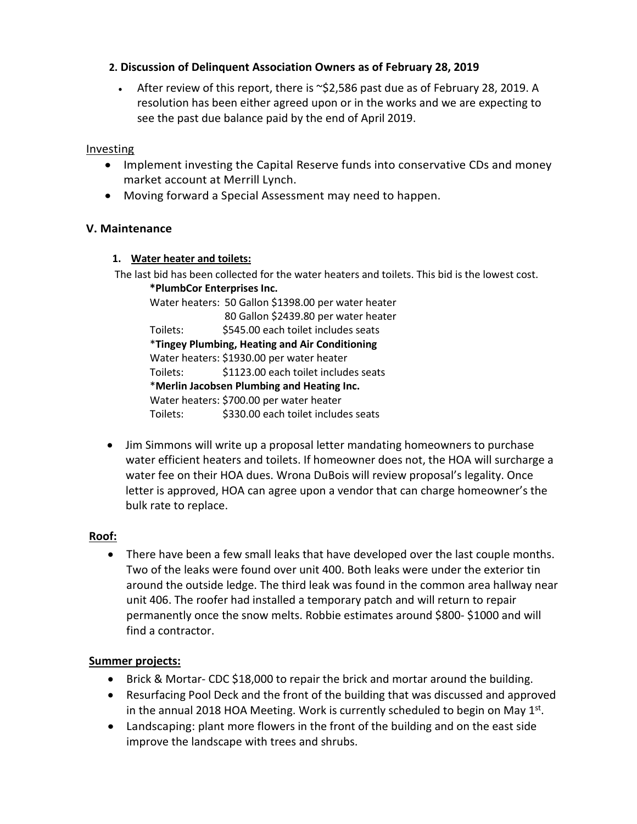## **2. Discussion of Delinquent Association Owners as of February 28, 2019**

• After review of this report, there is  $\sim$ \$2,586 past due as of February 28, 2019. A resolution has been either agreed upon or in the works and we are expecting to see the past due balance paid by the end of April 2019.

#### **Investing**

- Implement investing the Capital Reserve funds into conservative CDs and money market account at Merrill Lynch.
- Moving forward a Special Assessment may need to happen.

#### **V. Maintenance**

#### **1. Water heater and toilets:**

The last bid has been collected for the water heaters and toilets. This bid is the lowest cost. **\*PlumbCor Enterprises Inc.**

Water heaters: 50 Gallon \$1398.00 per water heater 80 Gallon \$2439.80 per water heater Toilets: \$545.00 each toilet includes seats \***Tingey Plumbing, Heating and Air Conditioning** Water heaters: \$1930.00 per water heater Toilets: \$1123.00 each toilet includes seats \***Merlin Jacobsen Plumbing and Heating Inc.** Water heaters: \$700.00 per water heater Toilets: \$330.00 each toilet includes seats

• Jim Simmons will write up a proposal letter mandating homeowners to purchase water efficient heaters and toilets. If homeowner does not, the HOA will surcharge a water fee on their HOA dues. Wrona DuBois will review proposal's legality. Once letter is approved, HOA can agree upon a vendor that can charge homeowner's the bulk rate to replace.

## **Roof:**

• There have been a few small leaks that have developed over the last couple months. Two of the leaks were found over unit 400. Both leaks were under the exterior tin around the outside ledge. The third leak was found in the common area hallway near unit 406. The roofer had installed a temporary patch and will return to repair permanently once the snow melts. Robbie estimates around \$800- \$1000 and will find a contractor.

## **Summer projects:**

- Brick & Mortar- CDC \$18,000 to repair the brick and mortar around the building.
- Resurfacing Pool Deck and the front of the building that was discussed and approved in the annual 2018 HOA Meeting. Work is currently scheduled to begin on May  $1<sup>st</sup>$ .
- Landscaping: plant more flowers in the front of the building and on the east side improve the landscape with trees and shrubs.